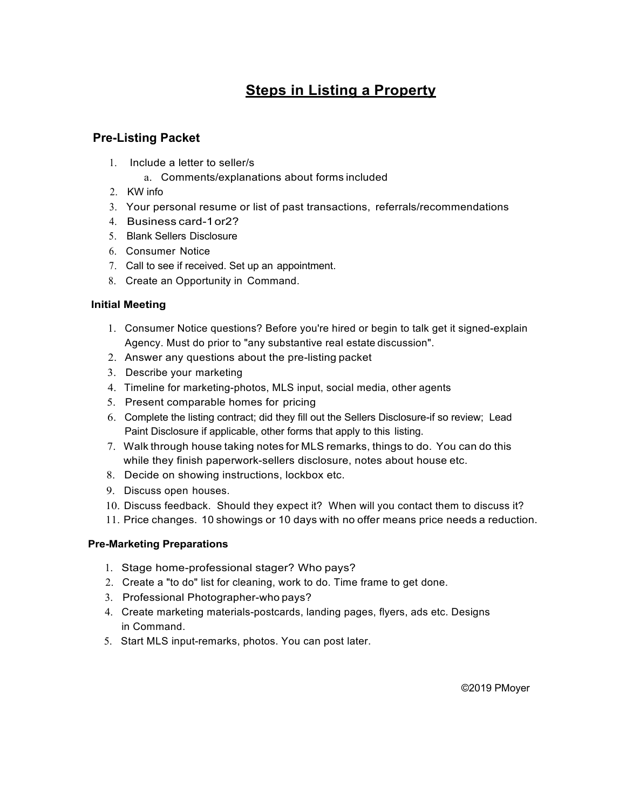# **Steps in Listing a Property**

## **Pre-Listing Packet**

- 1. Include a letter to seller/s
	- a. Comments/explanations about forms included
- 2. KW info
- 3. Your personal resume or list of past transactions, referrals/recommendations
- 4. Business card-1or2?
- 5. Blank Sellers Disclosure
- 6. Consumer Notice
- 7. Call to see if received. Set up an appointment.
- 8. Create an Opportunity in Command.

### **Initial Meeting**

- 1. Consumer Notice questions? Before you're hired or begin to talk get it signed-explain Agency. Must do prior to "any substantive real estate discussion".
- 2. Answer any questions about the pre-listing packet
- 3. Describe your marketing
- 4. Timeline for marketing-photos, MLS input, social media, other agents
- 5. Present comparable homes for pricing
- 6. Complete the listing contract; did they fill out the Sellers Disclosure-if so review; Lead Paint Disclosure if applicable, other forms that apply to this listing.
- 7. Walk through house taking notes for MLS remarks, things to do. You can do this while they finish paperwork-sellers disclosure, notes about house etc.
- 8. Decide on showing instructions, lockbox etc.
- 9. Discuss open houses.
- 10. Discuss feedback. Should they expect it? When will you contact them to discuss it?
- 11. Price changes. 10 showings or 10 days with no offer means price needs a reduction.

#### **Pre-Marketing Preparations**

- 1. Stage home-professional stager? Who pays?
- 2. Create a "to do" list for cleaning, work to do. Time frame to get done.
- 3. Professional Photographer-who pays?
- 4. Create marketing materials-postcards, landing pages, flyers, ads etc. Designs in Command.
- 5. Start MLS input-remarks, photos. You can post later.

©2019 PMoyer